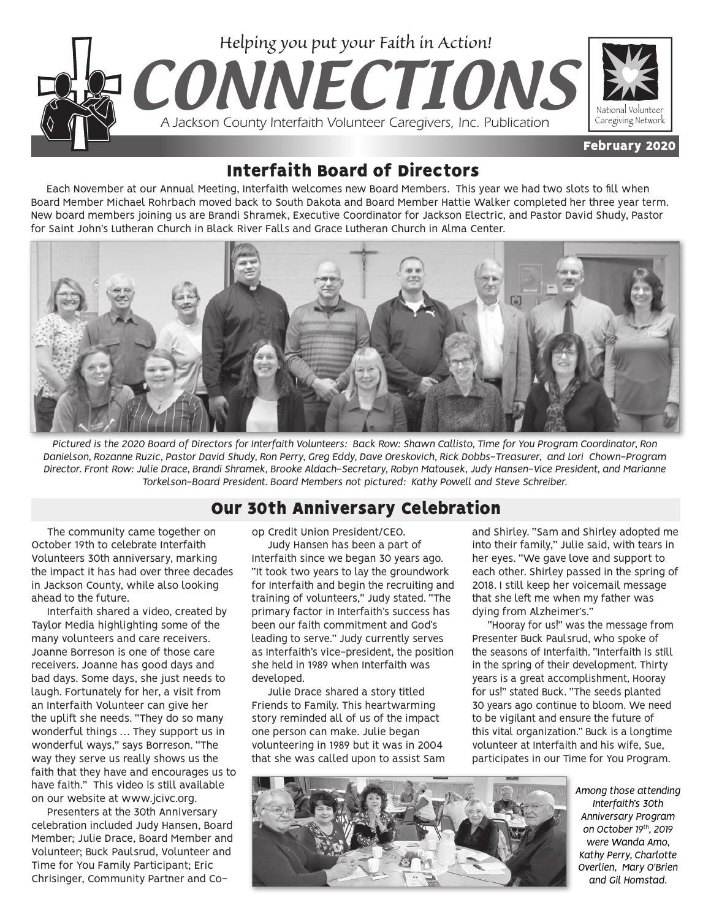

## Interfaith Board of Directors

Each November at our Annual Meeting, Interfaith welcomes new Board Members. This year we had two slots to fill when Board Member Michael Rohrbach moved back to South Dakota and Board Member Hattie Walker completed her three year term. New board members joining us are Brandi Shramek, Executive Coordinator for Jackson Electric, and Pastor David Shudy, Pastor for Saint John's Lutheran Church in Black River Falls and Grace Lutheran Church in Alma Center.



*Pictured is the 2020 Board of Directors for Interfaith Volunteers: Back Row: Shawn Callisto, Time for You Program Coordinator, Ron Danielson, Rozanne Ruzic, Pastor David Shudy, Ron Perry, Greg Eddy, Dave Oreskovich, Rick Dobbs-Treasurer, and Lori Chown-Program Director. Front Row: Julie Drace, Brandi Shramek, Brooke Aldach-Secretary, Robyn Matousek, Judy Hansen-Vice President, and Marianne Torkelson-Board President. Board Members not pictured: Kathy Powell and Steve Schreiber.*

### Our 30th Anniversary Celebration

The community came together on October 19th to celebrate Interfaith Volunteers 30th anniversary, marking the impact it has had over three decades in Jackson County, while also looking ahead to the future.

Interfaith shared a video, created by Taylor Media highlighting some of the many volunteers and care receivers. Joanne Borreson is one of those care receivers. Joanne has good days and bad days. Some days, she just needs to laugh. Fortunately for her, a visit from an Interfaith Volunteer can give her the uplift she needs. "They do so many wonderful things … They support us in wonderful ways," says Borreson. "The way they serve us really shows us the faith that they have and encourages us to have faith." This video is still available on our website at www.jcivc.org.

Presenters at the 30th Anniversary celebration included Judy Hansen, Board Member; Julie Drace, Board Member and Volunteer; Buck Paulsrud, Volunteer and Time for You Family Participant; Eric Chrisinger, Community Partner and Coop Credit Union President/CEO.

Judy Hansen has been a part of Interfaith since we began 30 years ago. "It took two years to lay the groundwork for Interfaith and begin the recruiting and training of volunteers," Judy stated. "The primary factor in Interfaith's success has been our faith commitment and God's leading to serve." Judy currently serves as Interfaith's vice-president, the position she held in 1989 when Interfaith was developed.

Julie Drace shared a story titled Friends to Family. This heartwarming story reminded all of us of the impact one person can make. Julie began volunteering in 1989 but it was in 2004 that she was called upon to assist Sam and Shirley. "Sam and Shirley adopted me into their family," Julie said, with tears in her eyes. "We gave love and support to each other. Shirley passed in the spring of 2018. I still keep her voicemail message that she left me when my father was dying from Alzheimer's."

"Hooray for us!" was the message from Presenter Buck Paulsrud, who spoke of the seasons of Interfaith. "Interfaith is still in the spring of their development. Thirty years is a great accomplishment, Hooray for us!" stated Buck. "The seeds planted 30 years ago continue to bloom. We need to be vigilant and ensure the future of this vital organization." Buck is a longtime volunteer at Interfaith and his wife, Sue, participates in our Time for You Program.



*Among those attending Interfaith's 30th Anniversary Program on October 19th, 2019 were Wanda Amo, Kathy Perry, Charlotte Overlien, Mary O'Brien and Gil Homstad.*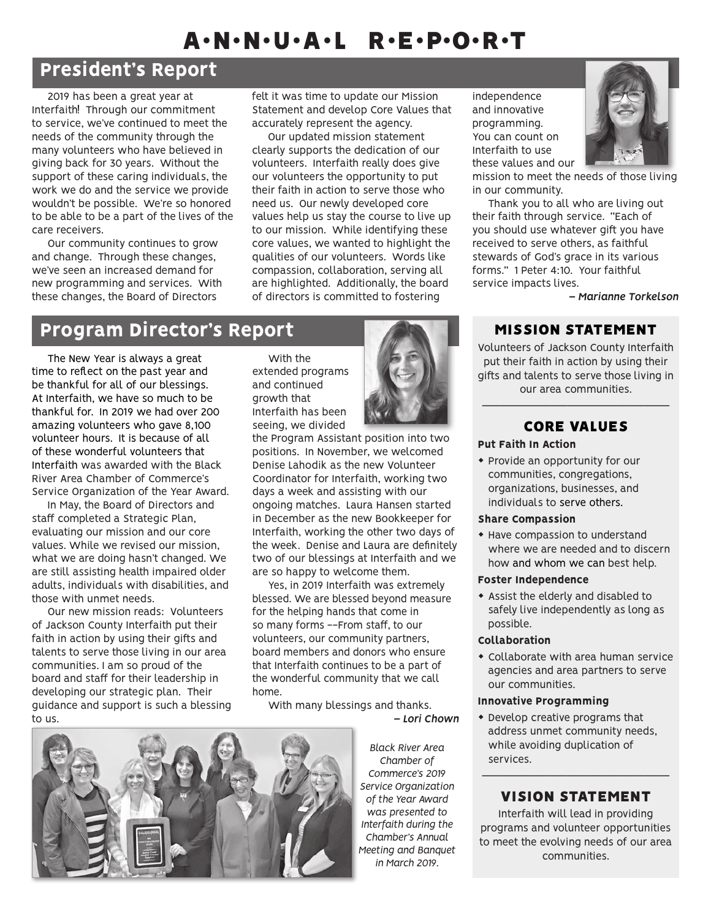# A•N•N•U•A•L R•E•P•O•R•T

## President's Report

2019 has been a great year at Interfaith! Through our commitment to service, we've continued to meet the needs of the community through the many volunteers who have believed in giving back for 30 years. Without the support of these caring individuals, the work we do and the service we provide wouldn't be possible. We're so honored to be able to be a part of the lives of the care receivers.

Our community continues to grow and change. Through these changes, we've seen an increased demand for new programming and services. With these changes, the Board of Directors

felt it was time to update our Mission Statement and develop Core Values that accurately represent the agency.

Our updated mission statement clearly supports the dedication of our volunteers. Interfaith really does give our volunteers the opportunity to put their faith in action to serve those who need us. Our newly developed core values help us stay the course to live up to our mission. While identifying these core values, we wanted to highlight the qualities of our volunteers. Words like compassion, collaboration, serving all are highlighted. Additionally, the board of directors is committed to fostering

## Program Director's Report MISSION STATEMENT

The New Year is always a great time to reflect on the past year and be thankful for all of our blessings. At Interfaith, we have so much to be thankful for. In 2019 we had over 200 amazing volunteers who gave 8,100 volunteer hours. It is because of all of these wonderful volunteers that Interfaith was awarded with the Black River Area Chamber of Commerce's Service Organization of the Year Award.

In May, the Board of Directors and staff completed a Strategic Plan, evaluating our mission and our core values. While we revised our mission, what we are doing hasn't changed. We are still assisting health impaired older adults, individuals with disabilities, and those with unmet needs.

Our new mission reads: Volunteers of Jackson County Interfaith put their faith in action by using their gifts and talents to serve those living in our area communities. I am so proud of the board and staff for their leadership in developing our strategic plan. Their guidance and support is such a blessing to us.



the Program Assistant position into two positions. In November, we welcomed Denise Lahodik as the new Volunteer Coordinator for Interfaith, working two days a week and assisting with our ongoing matches. Laura Hansen started in December as the new Bookkeeper for Interfaith, working the other two days of the week. Denise and Laura are definitely two of our blessings at Interfaith and we are so happy to welcome them.

Yes, in 2019 Interfaith was extremely blessed. We are blessed beyond measure for the helping hands that come in so many forms --From staff, to our volunteers, our community partners, board members and donors who ensure that Interfaith continues to be a part of the wonderful community that we call home.

With many blessings and thanks.





*Black River Area Chamber of Commerce's 2019 Service Organization of the Year Award was presented to Interfaith during the Chamber's Annual Meeting and Banquet in March 2019.*

independence and innovative programming. You can count on Interfaith to use these values and our



mission to meet the needs of those living in our community.

Thank you to all who are living out their faith through service. "Each of you should use whatever gift you have received to serve others, as faithful stewards of God's grace in its various forms." 1 Peter 4:10. Your faithful service impacts lives.

*– Marianne Torkelson*

Volunteers of Jackson County Interfaith put their faith in action by using their gifts and talents to serve those living in our area communities.

### —————————————————————— CORE VALUES

#### Put Faith In Action

• Provide an opportunity for our communities, congregations, organizations, businesses, and individuals to serve others.

#### Share Compassion

• Have compassion to understand where we are needed and to discern how and whom we can best help.

#### Foster Independence

• Assist the elderly and disabled to safely live independently as long as possible.

#### Collaboration

 $\bullet$  Collaborate with area human service agencies and area partners to serve our communities.

#### Innovative Programming

 $\bullet$  Develop creative programs that address unmet community needs, while avoiding duplication of services.

### —————————————————————— VISION STATEMENT

Interfaith will lead in providing programs and volunteer opportunities to meet the evolving needs of our area communities.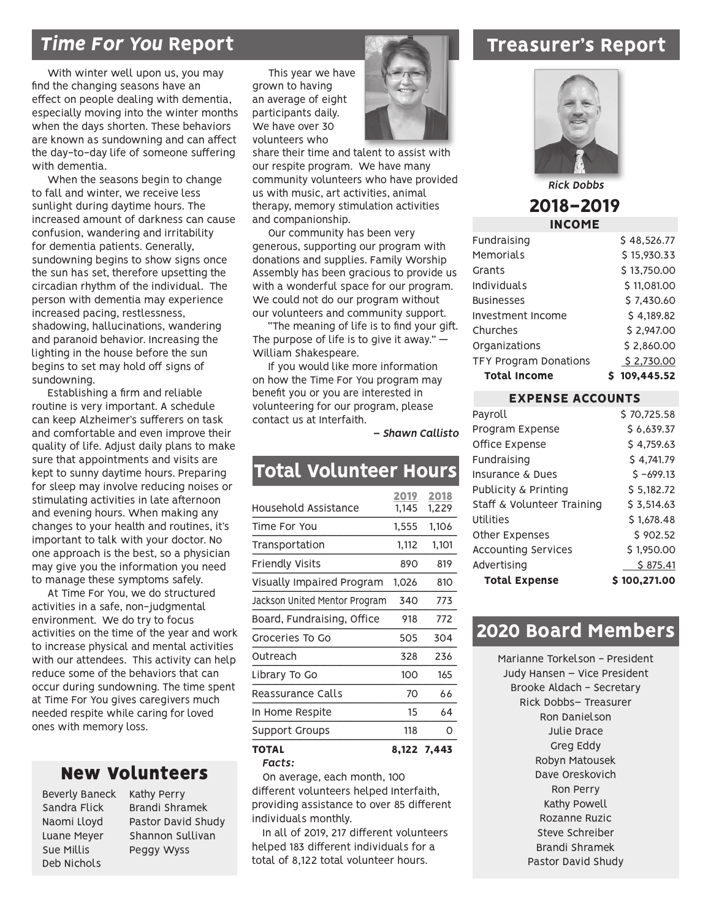### *Time For You* Report

With winter well upon us, you may find the changing seasons have an effect on people dealing with dementia, especially moving into the winter months when the days shorten. These behaviors are known as sundowning and can affect the day-to-day life of someone suffering with dementia.

When the seasons begin to change to fall and winter, we receive less sunlight during daytime hours. The increased amount of darkness can cause confusion, wandering and irritability for dementia patients. Generally, sundowning begins to show signs once the sun has set, therefore upsetting the circadian rhythm of the individual. The person with dementia may experience increased pacing, restlessness, shadowing, hallucinations, wandering and paranoid behavior. Increasing the lighting in the house before the sun begins to set may hold off signs of sundowning.

Establishing a firm and reliable routine is very important. A schedule can keep Alzheimer's sufferers on task and comfortable and even improve their quality of life. Adjust daily plans to make sure that appointments and visits are kept to sunny daytime hours. Preparing for sleep may involve reducing noises or stimulating activities in late afternoon and evening hours. When making any changes to your health and routines, it's important to talk with your doctor. No one approach is the best, so a physician may give you the information you need to manage these symptoms safely.

At Time For You, we do structured activities in a safe, non-judgmental environment. We do try to focus activities on the time of the year and work to increase physical and mental activities with our attendees. This activity can help reduce some of the behaviors that can occur during sundowning. The time spent at Time For You gives caregivers much needed respite while caring for loved ones with memory loss.

### New Volunteers

Beverly Baneck Sandra Flick Naomi Lloyd Luane Meyer Sue Millis Deb Nichols

Kathy Perry Brandi Shramek Pastor David Shudy Shannon Sullivan Peggy Wyss

This year we have grown to having an average of eight participants daily. We have over 30 volunteers who



share their time and talent to assist with our respite program. We have many community volunteers who have provided us with music, art activities, animal therapy, memory stimulation activities and companionship.

Our community has been very generous, supporting our program with donations and supplies. Family Worship Assembly has been gracious to provide us with a wonderful space for our program. We could not do our program without our volunteers and community support.

"The meaning of life is to find your gift. The purpose of life is to give it away."  $-$ William Shakespeare.

If you would like more information on how the Time For You program may benefit you or you are interested in volunteering for our program, please contact us at Interfaith.

*– Shawn Callisto*

### Total Volunteer Hours

| Facts:                        |       |             |
|-------------------------------|-------|-------------|
| TOTAL                         |       | 8,122 7,443 |
| Support Groups                | 118   | Ω           |
| In Home Respite               | 15    | 64          |
| Reassurance Calls             | 70    | 66          |
| Library To Go                 | 100   | 165         |
| Outreach                      | 328   | 236         |
| Groceries To Go               | 505   | 304         |
| Board, Fundraising, Office    | 918   | 772         |
| Jackson United Mentor Program | 340   | 773         |
| Visually Impaired Program     | 1,026 | 810         |
| Friendly Visits               | 890   | 819         |
| Transportation                | 1,112 | 1,101       |
| Time For You                  | 1,555 | 1,106       |
| Household Assistance          | 1,145 | 1,229       |
|                               | 2019  | 2018        |

On average, each month, 100 different volunteers helped Interfaith, providing assistance to over 85 different individuals monthly.

In all of 2019, 217 different volunteers helped 183 different individuals for a total of 8,122 total volunteer hours.

### Treasurer's Report



*Rick Dobbs*

### 2018-2019 INCOME

| Fundraising                  | \$48,526.77  |
|------------------------------|--------------|
| <b>Memorials</b>             | \$15.930.33  |
| Grants                       | \$13,750.00  |
| Individuals                  | \$11,081.00  |
| <b>Businesses</b>            | \$7.430.60   |
| Investment Income            | \$4,189.82   |
| Churches                     | \$2.947.00   |
| Organizations                | \$2.860.00   |
| <b>TFY Program Donations</b> | \$2,730.00   |
| <b>Total Income</b>          | \$109.445.52 |
|                              |              |

| <b>EXPENSE ACCOUNTS</b> |  |  |
|-------------------------|--|--|
| \$70.725.58             |  |  |
| \$6,639.37              |  |  |
| \$4.759.63              |  |  |
| \$4.741.79              |  |  |
| $5 - 699.13$            |  |  |
| \$5.182.72              |  |  |
| 5.514.63                |  |  |
| \$1,678,48              |  |  |
| \$902.52                |  |  |
| \$1,950.00              |  |  |
| \$875.41                |  |  |
| \$100.271.00            |  |  |
|                         |  |  |

### 2020 Board Members

Marianne Torkelson - President Judy Hansen – Vice President Brooke Aldach - Secretary Rick Dobbs– Treasurer Ron Danielson Julie Drace Greg Eddy Robyn Matousek Dave Oreskovich Ron Perry Kathy Powell Rozanne Ruzic Steve Schreiber Brandi Shramek Pastor David Shudy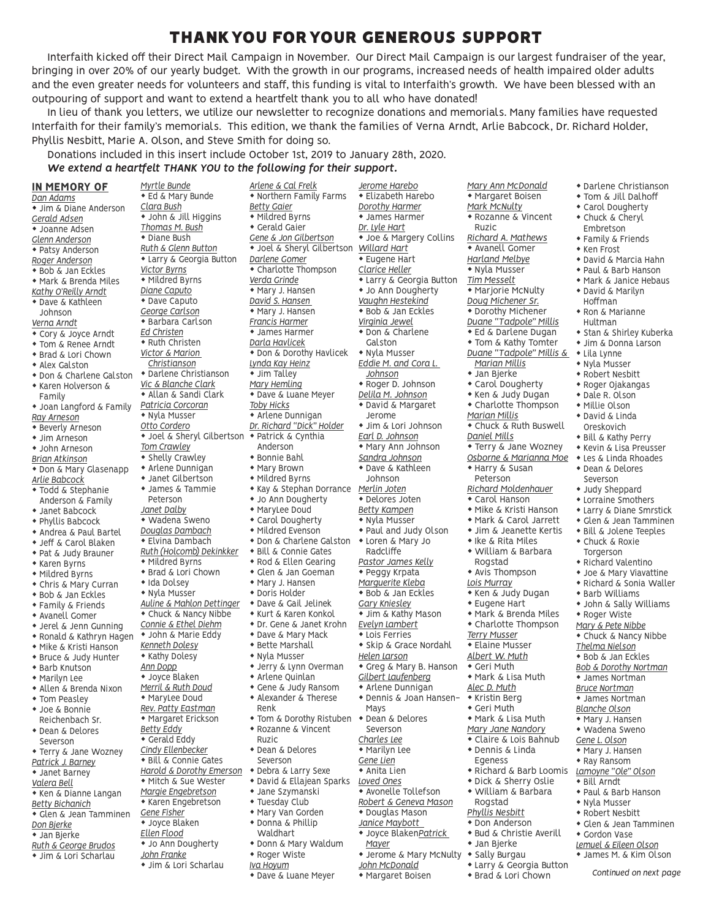### THANK YOU FOR YOUR GENEROUS SUPPORT

Interfaith kicked off their Direct Mail Campaign in November. Our Direct Mail Campaign is our largest fundraiser of the year, bringing in over 20% of our yearly budget. With the growth in our programs, increased needs of health impaired older adults and the even greater needs for volunteers and staff, this funding is vital to Interfaith's growth. We have been blessed with an outpouring of support and want to extend a heartfelt thank you to all who have donated!

In lieu of thank you letters, we utilize our newsletter to recognize donations and memorials. Many families have requested Interfaith for their family's memorials. This edition, we thank the families of Verna Arndt, Arlie Babcock, Dr. Richard Holder, Phyllis Nesbitt, Marie A. Olson, and Steve Smith for doing so.

#### Donations included in this insert include October 1st, 2019 to January 28th, 2020.

#### *We extend a heartfelt THANK YOU to the following for their support.*

IN MEMORY OF *Dan Adams* • Jim & Diane Anderson *Gerald Adsen* • Joanne Adsen *Glenn Anderson* • Patsy Anderson *Roger Anderson*  $\bullet$  Bob & Jan Eckles • Mark & Brenda Miles *Kathy O'Reilly Arndt*  $\bullet$  Dave & Kathleen *Verna Arndt* • Cory & Joyce Arndt **\* Tom & Renee Arndt** ◆ Brad & Lori Chown  $\bullet$  Alex Galston \* Don & Charlene Galston \* Karen Holverson & \* Joan Langford & Family *Ray Arneson* • Beverly Arneson  $\bullet$  Jim Arneson  $\bullet$  John Arneson *Brian Atkinson* \* Don & Mary Glasenapp *Arlie Babcock* \* Todd & Stephanie Anderson & Family  $*$  Janet Babcock  $\bullet$  Phyllis Babcock \* Andrea & Paul Bartel • Jeff & Carol Blaken \* Pat & Judy Brauner  $*$  Karen Byrns  $*$  Mildred Byrns • Chris & Mary Curran \* Bob & Jan Eckles **\* Family & Friends**  $*$  Avanell Gomer  $\bullet$  Jerel & Jenn Gunning  $*$  Ronald & Kathryn Hagen • Mike & Kristi Hanson \* Bruce & Judy Hunter  $\bullet$  Barb Knutson  $*$  Marilyn Lee • Allen & Brenda Nixon  $*$  Tom Peasley • Joe & Bonnie Reichenbach Sr.  $\bullet$  Dean & Delores Severson **\* Terry & Jane Wozney** *Patrick J. Barney* \* Janet Barney *Valera Bell* \* Ken & Dianne Langan *Betty Bichanich*  $\bullet$  Glen & Jean Tamminen *Don Bjerke*  $*$  Jan Bjerke *Ruth & George Brudos*  $*$  Jim & Lori Scharlau *Myrtle Bunde Clara Bush Victor Byrns Ed Christen* Peterson *Janet Dalby Ann Dopp Betty Eddy Gene Fisher Ellen Flood John Franke*

Johnson

Family

 $\overline{\bullet}$  Ed & Mary Bunde **\*** John & Jill Higgins *Thomas M. Bush*  $\bullet$  Diane Bush *Ruth & Glenn Button* **\* Larry & Georgia Button**  $\overline{\bullet}$  Mildred Byrns *Diane Caputo*  $\bullet$  Dave Caputo *George Carlson* **\* Barbara Carlson**  $*$  Ruth Christen *Victor & Marion Christianson* \* Darlene Christianson *Vic & Blanche Clark* \* Allan & Sandi Clark *Patricia Corcoran* • Nyla Musser *Otto Cordero* **\*** Joel & Sheryl Gilbertson *Tom Crawley*  $\overline{\bullet}$  Shelly Crawley  $*$  Arlene Dunnigan • Janet Gilbertson • James & Tammie • Wadena Sweno *Douglas Dambach*  $\bullet$  Flyina Dambach *Ruth (Holcomb) Dekinkker*  $*$  Mildred Byrns ◆ Brad & Lori Chown • Ida Dolsey  $*$  Nyla Musser *Auline & Mahlon Dettinger* **Chuck & Nancy Nibbe** *Connie & Ethel Diehm* • John & Marie Eddy *Kenneth Dolesy*  $*$  Kathy Dolesy  $\bullet$  Joyce Blaken *Merril & Ruth Doud* • MaryLee Doud *Rev. Patty Eastman* • Margaret Erickson • Gerald Eddy *Cindy Ellenbecker* **\* Bill & Connie Gates** *Harold & Dorothy Emerson* • Mitch & Sue Wester *Margie Engebretson* \* Karen Engebretson • Joyce Blaken • Jo Ann Dougherty • Jim & Lori Scharlau

*Arlene & Cal Frelk*  $*$  Northern Family Farms *Betty Gaier*  $*$  Mildred Byrns  $\bullet$  Gerald Gaier *Gene & Jon Gilbertson* \* Joel & Sheryl Gilbertson *Darlene Gomer* • Charlotte Thompson *Verda Grinde* • Mary J. Hansen *David S. Hansen*  • Mary J. Hansen *Francis Harmer*  $*$  James Harmer *Darla Havlicek* \* Don & Dorothy Havlicek *Lynda Kay Heinz*  $\bullet$  Jim Talley *Mary Hemling* \* Dave & Luane Meyer *Toby Hicks* • Arlene Dunnigan *Dr. Richard "Dick" Holder*  $\bullet$  Patrick & Cynthia Anderson  $*$  Bonnie Bahl • Mary Brown  $*$  Mildred Byrns • Kay & Stephan Dorrance \* Jo Ann Dougherty • MaryLee Doud • Carol Dougherty  $*$  Mildred Evenson \* Don & Charlene Galston **\* Bill & Connie Gates**  $\bullet$  Rod & Ellen Gearing • Glen & Jan Goeman • Mary J. Hansen  $\bullet$  Doris Holder \* Dave & Gail Jelinek  $*$  Kurt & Karen Konkol \* Dr. Gene & Janet Krohn • Dave & Mary Mack  $\bullet$  Bette Marshall • Nyla Musser • Jerry & Lynn Overman  $*$  Arlene Quinlan • Gene & Judy Ransom • Alexander & Therese Renk • Tom & Dorothy Ristuben • Rozanne & Vincent Ruzic • Dean & Delores Severson • Debra & Larry Sexe \* David & Ellajean Sparks • Jane Szymanski  $*$  Tuesday Club • Mary Van Gorden • Donna & Phillip Waldhart \* Donn & Mary Waldum • Roger Wiste *Iva Hoyum* • Dave & Luane Meyer

*Jerome Harebo*  $\bullet$  Elizabeth Harebo *Dorothy Harmer*  $*$  James Harmer *Dr. Lyle Hart* • Joe & Margery Collins *Willard Hart*  $*$  Eugene Hart *Clarice Heller*  $\overline{\bullet}$  Larry & Georgia Button \* Jo Ann Dougherty *Vaughn Hestekind*  $\bullet$  Bob & Jan Eckles *Virginia Jewel*  $\overline{\bullet}$  Don & Charlene Galston • Nyla Musser *Eddie M. and Cora L. Johnson*  $\overline{\text{Roger D.}}$  Johnson *Delila M. Johnson* \* David & Margaret Jerome • Jim & Lori Johnson *Earl D. Johnson* \* Mary Ann Johnson *Sandra Johnson* \* Dave & Kathleen Johnson *Merlin Joten* • Delores Joten *Betty Kampen* • Nyla Musser \* Paul and Judy Olson • Loren & Mary Jo Radcliffe *Pastor James Kelly*  $\bullet$  Peggy Krpata *Marguerite Kleba* \* Bob & Jan Eckles *Gary Kniesley* • Jim & Kathy Mason *Evelyn Lambert*  $*$  Lois Ferries • Skip & Grace Nordahl *Helen Larson* • Greg & Mary B. Hanson *Gilbert Laufenberg* • Arlene Dunnigan \* Dennis & Joan Hansen-Mays • Dean & Delores Severson *Charles Lee* • Marilyn Lee *Gene Lien*  $*$  Anita Lien *Loved Ones* \* Avonelle Tollefson *Robert & Geneva Mason* \* Douglas Mason *Janice Maybott*   $*$  Joyce BlakenPatrick *Mayer* • Jerome & Mary McNulty *John McDonald* \* Margaret Boisen

*Mary Ann McDonald*  $*$  Margaret Boisen *Mark McNulty* \* Rozanne & Vincent Ruzic *Richard A. Mathews* \* Avanell Gomer *Harland Melbye*  $*$  Nyla Musser *Tim Messelt* • Marjorie McNulty *Doug Michener Sr.* \* Dorothy Michener *Duane "Tadpole" Millis*  $\overline{\bullet}$  Ed & Darlene Dugan • Tom & Kathy Tomter *Duane "Tadpole" Millis & Marian Millis*  $*$  Jan Bjerke • Carol Dougherty \* Ken & Judy Dugan  $\bullet$  Charlotte Thompson *Marian Millis* • Chuck & Ruth Buswell *Daniel Mills* **\* Terry & Jane Wozney** *Osborne & Marianna Moe* \* Harry & Susan Peterson *Richard Moldenhauer*  $\bullet$  Carol Hanson • Mike & Kristi Hanson ◆ Mark & Carol Jarrett • Jim & Jeanette Kertis  $\bullet$  Ike & Rita Miles \* William & Barbara Rogstad  $*$  Avis Thompson *Lois Murray*  $\overline{\bullet}$  Ken & Judy Dugan  $\bullet$  Eugene Hart • Mark & Brenda Miles  $\bullet$  Charlotte Thompson *Terry Musser*  $\bullet$  Elaine Musser *Albert W. Muth*  $\bullet$  Geri Muth • Mark & Lisa Muth *Alec D. Muth*  $*$  Kristin Berg  $\bullet$  Geri Muth • Mark & Lisa Muth *Mary Jane Nandory* • Claire & Lois Bahnub  $\bullet$  Dennis & Linda Egeness \* Richard & Barb Loomis \* Dick & Sherry Oslie • William & Barbara Rogstad *Phyllis Nesbitt* • Don Anderson

- \* Bud & Christie Averill
- $\bullet$  Jan Bjerke • Sally Burgau
- Larry & Georgia Button
- ◆ Brad & Lori Chown
- \* Darlene Christianson
- \* Tom & Jill Dalhoff
- Carol Dougherty • Chuck & Cheryl Embretson
- Family & Friends
- $*$  Ken Frost
- $\bullet$  David & Marcia Hahn
- \* Paul & Barb Hanson
- $*$  Mark & Janice Hebaus
- David & Marilyn Hoffman
- Ron & Marianne Hultman
- \* Stan & Shirley Kuberka
- Jim & Donna Larson  $\cdot$  Lila Lynne
- 
- Nyla Musser • Robert Nesbitt
- \* Roger Ojakangas
- \* Dale R. Olson
- Millie Olson
- David & Linda
	- Oreskovich
	- ◆ Bill & Kathy Perry
	- \* Kevin & Lisa Preusser
	- Les & Linda Rhoades • Dean & Delores Severson
	- Judy Sheppard
	- $*$  Lorraine Smothers
	- Larry & Diane Smrstick
	- Glen & Jean Tamminen
	- \* Bill & Jolene Teeples
	- Chuck & Roxie
	- **Torgerson**  $\bullet$  Richard Valentino
	-
	- Joe & Mary Viavattine
	- $\bullet$  Richard & Sonia Waller
	- Barb Williams
	- John & Sally Williams
	- Roger Wiste
	- *Mary & Pete Nibbe*
	- $\bullet$  Chuck & Nancy Nibbe
	-
	- *Thelma Nielson*
	- $\overline{\bullet}$  Bob & Jan Eckles
	- *Bob & Dorothy Nortman*
	- $*$  James Nortman
	- *Bruce Nortman*
	- $*$  James Nortman *Blanche Olson*
	- Mary J. Hansen
	- Wadena Sweno
	- *Gene L. Olson*
	- Mary J. Hansen
	- $*$  Ray Ransom
	- *Lamoyne "Ole" Olson*
	- $\bullet$  Bill Arndt
	- \* Paul & Barb Hanson
	- $*$  Nyla Musser
	- $\overline{\bullet}$  Robert Nesbitt
	- Glen & Jean Tamminen
	- Gordon Vase
	- *Lemuel & Eileen Olson*
	- \* James M. & Kim Olson
		- *Continued on next page*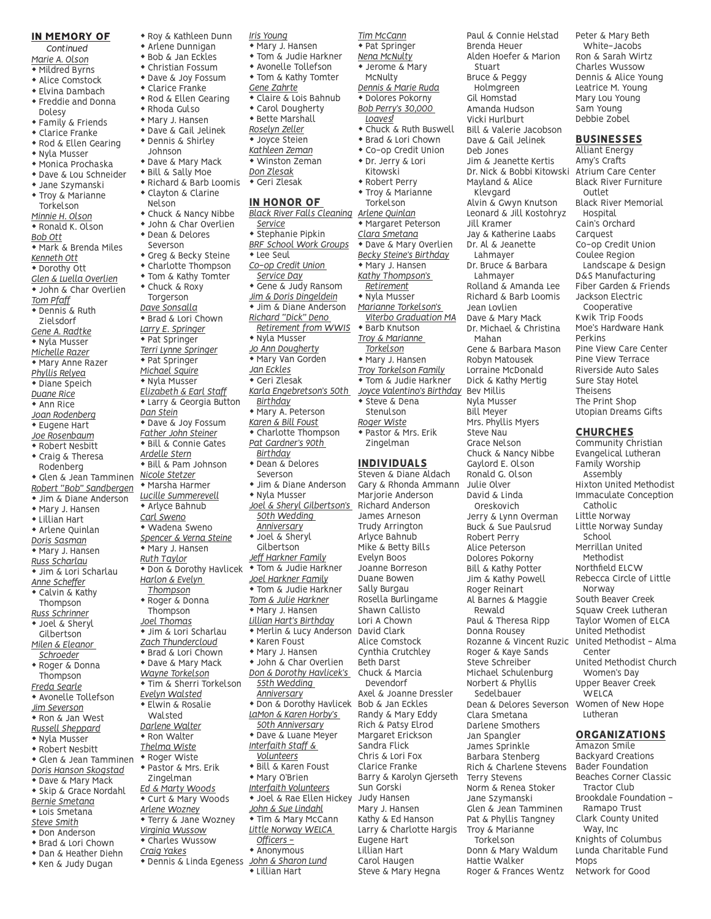#### IN MEMORY OF

 *Continued*

- *Marie A. Olson*  $*$  Mildred Byrns
- $\bullet$  Alice Comstock
- $\bullet$  Elvina Dambach
- **\*** Freddie and Donna
- Dolesy • Family & Friends
- $\bullet$  Clarice Franke
- \* Rod & Ellen Gearing
- Nyla Musser
- $\overline{\bullet}$  Monica Prochaska
- \* Dave & Lou Schneider
- $*$  Jane Szymanski
- Troy & Marianne
- Torkelson
- *Minnie H. Olson*
- $\overline{\bullet}$  Ronald K. Olson
- *Bob Ott*
- Mark & Brenda Miles
- *Kenneth Ott*
- Dorothy Ott
- *Glen & Luella Overlien* • John & Char Overlien *Tom Pfaff*  $\overline{\bullet}$  Dennis & Ruth Zielsdorf
- *Gene A. Radtke* • Nyla Musser *Michelle Razer*  $*$  Mary Anne Razer
- *Phyllis Relyea*  $\bullet$  Diane Speich
- *Duane Rice*  $*$  Ann Rice *Joan Rodenberg*
- \* Eugene Hart *Joe Rosenbaum* \* Robert Nesbitt  $\bullet$  Craig & Theresa
- Rodenberg • Glen & Jean Tamminen *Robert "Bob" Sandbergen* • Jim & Diane Anderson  $*$  Mary J. Hansen  $\bullet$  Lillian Hart  $*$  Arlene Quinlan
- *Doris Sasman* • Mary J. Hansen *Russ Scharlau*
- Jim & Lori Scharlau *Anne Scheffer* • Calvin & Kathy Thompson *Russ Schrinner*
- \* Joel & Sheryl Gilbertson *Milen & Eleanor*
- *Schroeder* \* Roger & Donna Thompson *Freda Searle*
- Avonelle Tollefson *Jim Severson* \* Ron & Jan West *Russell Sheppard*
- $\overline{\bullet}$  Nyla Musser
- 
- \* Robert Nesbitt • Glen & Jean Tamminen
- *Doris Hanson Skogstad*
- \* Dave & Mary Mack • Skip & Grace Nordahl
- *Bernie Smetana*  $*$  Lois Smetana
- *Steve Smith*
- $\bullet$  Don Anderson
- ◆ Brad & Lori Chown
- \* Dan & Heather Diehn
- \* Ken & Judy Dugan
- \* Roy & Kathleen Dunn
- $*$  Arlene Dunnigan  $\bullet$  Bob & Jan Eckles
- $\bullet$  Christian Fossum
- \* Dave & Joy Fossum
- $\bullet$  Clarice Franke
- \* Rod & Ellen Gearing
- Rhoda Gulso
- Mary J. Hansen
- $\bullet$  Dave & Gail Jelinek
- \* Dennis & Shirley
- Johnson
- Dave & Mary Mack
- Bill & Sally Moe
- \* Richard & Barb Loomis
- Clayton & Clarine
- Nelson
- Chuck & Nancy Nibbe
- John & Char Overlien
- \* Dean & Delores
- Severson
- Greg & Becky Steine
- $\bullet$  Charlotte Thompson
- Tom & Kathy Tomter
- Chuck & Roxy
- Torgerson
- *Dave Sonsalla*

\* Dave & Joy Fossum *Father John Steiner* \* Bill & Connie Gates *Ardelle Stern* \* Bill & Pam Johnson *Nicole Stetzer*  $\bullet$  Marsha Harmer *Lucille Summerevell*  $*$  Arlyce Bahnub *Carl Sweno* • Wadena Sweno *Spencer & Verna Steine* • Mary J. Hansen *Ruth Taylor*

*Harlon & Evelyn Thompson* \* Roger & Donna Thompson *Joel Thomas* **\* Jim & Lori Scharlau** *Zach Thundercloud* **\* Brad & Lori Chown** • Dave & Mary Mack *Wayne Torkelson*  $*$  Tim & Sherri Torkelson *Evelyn Walsted*  $\bullet$  Elwin & Rosalie Walsted *Darlene Walter*  $*$  Ron Walter *Thelma Wiste* • Roger Wiste \* Pastor & Mrs. Erik Zingelman *Ed & Marty Woods* • Curt & Mary Woods *Arlene Wozney* • Terry & Jane Wozney *Virginia Wussow* w Charles Wussow *Craig Yakes*

\* Brad & Lori Chown

 $\bullet$  Pat Springer *Michael Squire* • Nyla Musser *Elizabeth & Earl Staff* \* Larry & Georgia Button

*Dan Stein*

- *Larry E. Springer*
- $\bullet$  Pat Springer
- *Terri Lynne Springer*  $\bullet$  Nyla Musser
	- *Jo Ann Dougherty*

*Iris Young* • Mary J. Hansen **\* Tom & Judie Harkner** • Avonelle Tollefson

*Gene Zahrte*

• Carol Dougherty  $\bullet$  Bette Marshall *Roselyn Zeller* • Joyce Steien *Kathleen Zeman* • Winston Zeman *Don Zlesak*  $\bullet$  Geri Zlesak IN HONOR OF

• Mary Van Gorden

*Service*  $\bullet$  Stephanie Pipkin

 $\bullet$  Lee Seul *Co-op Credit Union Service Day*

- *Jan Eckles*
- Geri Zlesak
- *Karla Engebretson's 50th*

*Richard "Dick" Deno* 

- *Birthday* \* Mary A. Peterson *Karen & Bill Foust*
- $\overline{\bullet}$  Charlotte Thompson *Pat Gardner's 90th*
- *Birthday* \* Dean & Delores
- Severson • Jim & Diane Anderson
- \* Don & Dorothy Havlicek • Nyla Musser *Joel & Sheryl Gilbertson's 50th Wedding Anniversary* • Joel & Sheryl Gilbertson *Jeff Harkner Family* **\* Tom & Judie Harkner** 
	- *Joel Harkner Family* **\* Tom & Judie Harkner** *Tom & Julie Harkner*  $*$  Mary J. Hansen *Lillian Hart's Birthday* \* Merlin & Lucy Anderson  $*$  Karen Foust
	- Mary J. Hansen
	- $\bullet$  John & Char Overlien *Don & Dorothy Havlicek's 55th Wedding*
	- *Anniversary* \* Don & Dorothy Havlicek *LaMon & Karen Horby's 50th Anniversary*
	- \* Dave & Luane Meyer *Interfaith Staff & Volunteers* **\* Bill & Karen Foust** • Mary O'Brien *Interfaith Volunteers* • Joel & Rae Ellen Hickey
	- *John & Sue Lindahl* • Tim & Mary McCann *Little Norway WELCA*
- w Dennis & Linda Egeness *John & Sharon Lund Officers -*  $*$  Anonymous \* Lillian Hart

• Tom & Kathy Tomter • Claire & Lois Bahnub *Black River Falls Cleaning Arlene Quinlan BRF School Work Groups* **\*** Gene & Judy Ransom *Jim & Doris Dingeldein* • Jim & Diane Anderson *Retirement from WWIS* • Jerome & Mary McNulty *Dennis & Marie Ruda* \* Dolores Pokorny *Bob Perry's 30,000 Loaves!* **\*** Chuck & Ruth Buswell • Brad & Lori Chown \* Co-op Credit Union \* Dr. Jerry & Lori Kitowski  $*$  Robert Perry • Troy & Marianne **Torkelson** \* Margaret Peterson *Clara Smetana* \* Dave & Mary Overlien *Becky Steine's Birthday* • Mary J. Hansen *Kathy Thompson's Retirement* • Nyla Musser *Marianne Torkelson's Viterbo Graduation MA*  $*$  Barb Knutson *Troy & Marianne Torkelson* • Mary J. Hansen *Troy Torkelson Family* **\* Tom & Judie Harkner** \* Steve & Dena Stenulson

*Tim McCann*

#### INDIVIDUALS

*Roger Wiste*

Steven & Diane Aldach Gary & Rhonda Ammann Marjorie Anderson Richard Anderson James Arneson Trudy Arrington Arlyce Bahnub Mike & Betty Bills Evelyn Boos Joanne Borreson Duane Bowen Sally Burgau Rosella Burlingame Shawn Callisto Lori A Chown David Clark Alice Comstock Cynthia Crutchley Beth Darst Chuck & Marcia Devendorf Axel & Joanne Dressler Bob & Jan Eckles Randy & Mary Eddy Rich & Patsy Elrod Margaret Erickson Sandra Flick Chris & Lori Fox Clarice Franke Barry & Karolyn Gjerseth Sun Gorski Judy Hansen Mary J. Hansen Kathy & Ed Hanson Larry & Charlotte Hargis Eugene Hart Lillian Hart Carol Haugen Steve & Mary Hegna

 $*$  Pat Springer *Nena McNulty Joyce Valentino's Birthday* Bev Millis \* Pastor & Mrs. Erik Zingelman Brenda Heuer Alden Hoefer & Marion Stuart Bruce & Peggy Holmgreen Gil Homstad Amanda Hudson Vicki Hurlburt Bill & Valerie Jacobson Dave & Gail Jelinek Deb Jones Jim & Jeanette Kertis Dr. Nick & Bobbi Kitowski Mayland & Alice Klevgard Alvin & Gwyn Knutson Leonard & Jill Kostohryz Jill Kramer Mahan Bill Meyer Steve Nau

Paul & Connie Helstad

Jay & Katherine Laabs Dr. Al & Jeanette Lahmayer Dr. Bruce & Barbara Lahmayer Rolland & Amanda Lee Richard & Barb Loomis Jean Lovlien Dave & Mary Mack Dr. Michael & Christina Gene & Barbara Mason Robyn Matousek Lorraine McDonald Dick & Kathy Mertig Nyla Musser Mrs. Phyllis Myers Grace Nelson Chuck & Nancy Nibbe Gaylord E. Olson Ronald G. Olson Julie Olver David & Linda Oreskovich Jerry & Lynn Overman Buck & Sue Paulsrud Robert Perry Alice Peterson Dolores Pokorny Bill & Kathy Potter Jim & Kathy Powell Roger Reinart Al Barnes & Maggie Rewald Paul & Theresa Ripp Donna Rousey Rozanne & Vincent Ruzic United Methodist - Alma Roger & Kaye Sands Steve Schreiber Michael Schulenburg Norbert & Phyllis Sedelbauer Dean & Delores Severson Clara Smetana Darlene Smothers Jan Spangler James Sprinkle Barbara Stenberg Rich & Charlene Stevens Terry Stevens Norm & Renea Stoker Jane Szymanski Glen & Jean Tamminen Pat & Phyllis Tangney Troy & Marianne

Torkelson Donn & Mary Waldum Hattie Walker Roger & Frances Wentz Peter & Mary Beth White-Jacobs Ron & Sarah Wirtz Charles Wussow Dennis & Alice Young Leatrice M. Young Mary Lou Young Sam Young Debbie Zobel

#### **BUSINESSES**

Alliant Energy Amy's Crafts Atrium Care Center Black River Furniture Outlet Black River Memorial Hospital Cain's Orchard **Carquest** Co-op Credit Union Coulee Region Landscape & Design D&S Manufacturing Fiber Garden & Friends Jackson Electric Cooperative Kwik Trip Foods Moe's Hardware Hank Perkins Pine View Care Center Pine View Terrace Riverside Auto Sales Sure Stay Hotel Theisens The Print Shop Utopian Dreams Gifts

#### CHURCHES

Catholic Little Norway Little Norway Sunday

School Merrillan United Methodist Northfield ELCW Rebecca Circle of Little

Norway South Beaver Creek Squaw Creek Lutheran Taylor Women of ELCA United Methodist

Center

Mops

Network for Good

United Methodist Church Women's Day Upper Beaver Creek **WELCA** 

Women of New Hope Lutheran

ORGANIZATIONS Amazon Smile Backyard Creations Bader Foundation Beaches Corner Classic Tractor Club Brookdale Foundation - Ramapo Trust Clark County United Way, Inc Knights of Columbus Lunda Charitable Fund

Community Christian Evangelical Lutheran Family Worship Assembly

Hixton United Methodist Immaculate Conception